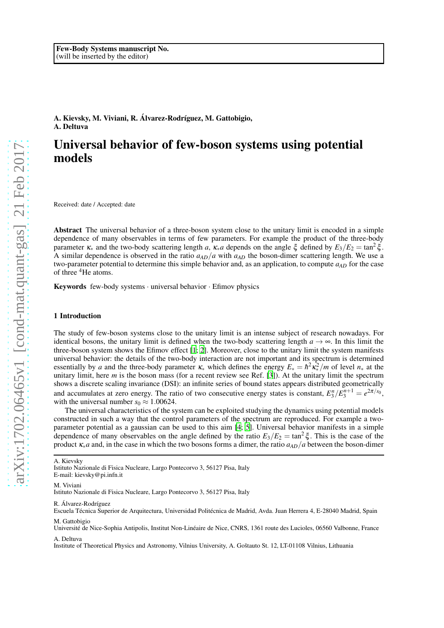## A. Kievsky, M. Viviani, R. Álvarez-Rodríguez, M. Gattobigio, A. Deltuva

# Universal behavior of few-boson systems using potential models

Received: date / Accepted: date

Abstract The universal behavior of a three-boson system close to the unitary limit is encoded in a simple dependence of many observables in terms of few parameters. For example the product of the three-body parameter <sup>κ</sup><sup>∗</sup> and the two-body scattering length *a*, <sup>κ</sup>∗*a* depends on the angle ξ defined by *E*3/*E*<sup>2</sup> = tan<sup>2</sup> ξ . A similar dependence is observed in the ratio  $a_{AD}/a$  with  $a_{AD}$  the boson-dimer scattering length. We use a two-parameter potential to determine this simple behavior and, as an application, to compute *aAD* for the case of three <sup>4</sup>He atoms.

Keywords few-body systems · universal behavior · Efimov physics

#### 1 Introduction

The study of few-boson systems close to the unitary limit is an intense subject of research nowadays. For identical bosons, the unitary limit is defined when the two-body scattering length  $a \rightarrow \infty$ . In this limit the three-boson system shows the Efimov effect [\[1;](#page-3-0) [2](#page-3-1)]. Moreover, close to the unitary limit the system manifests universal behavior: the details of the two-body interaction are not important and its spectrum is determined essentially by *a* and the three-body parameter  $\kappa_*$  which defines the energy  $E_* = \hbar^2 \kappa_*^2/m$  of level  $n_*$  at the unitary limit, here *m* is the boson mass (for a recent review see Ref. [\[3\]](#page-3-2)). At the unitary limit the spectrum shows a discrete scaling invariance (DSI): an infinite series of bound states appears distributed geometrically and accumulates at zero energy. The ratio of two consecutive energy states is constant,  $E_3^n/E_3^{n+1} = e^{2\pi/s_0}$ , with the universal number  $s_0 \approx 1.00624$ .

The universal characteristics of the system can be exploited studying the dynamics using potential models constructed in such a way that the control parameters of the spectrum are reproduced. For example a twoparameter potential as a gaussian can be used to this aim [\[4](#page-3-3); [5](#page-3-4)]. Universal behavior manifests in a simple dependence of many observables on the angle defined by the ratio  $E_3/E_2 = \tan^2 \xi$ . This is the case of the product <sup>κ</sup>∗*a* and, in the case in which the two bosons forms a dimer, the ratio *aAD*/*a* between the boson-dimer

A. Kievsky

M. Viviani

Istituto Nazionale di Fisica Nucleare, Largo Pontecorvo 3, 56127 Pisa, Italy

R. Álvarez-Rodríguez

Escuela Técnica Superior de Arquitectura, Universidad Politécnica de Madrid, Avda. Juan Herrera 4, E-28040 Madrid, Spain M. Gattobigio

Université de Nice-Sophia Antipolis, Institut Non-Linéaire de Nice, CNRS, 1361 route des Lucioles, 06560 Valbonne, France

A. Deltuva

Institute of Theoretical Physics and Astronomy, Vilnius University, A. Goštauto St. 12, LT-01108 Vilnius, Lithuania

Istituto Nazionale di Fisica Nucleare, Largo Pontecorvo 3, 56127 Pisa, Italy E-mail: kievsky@pi.infn.it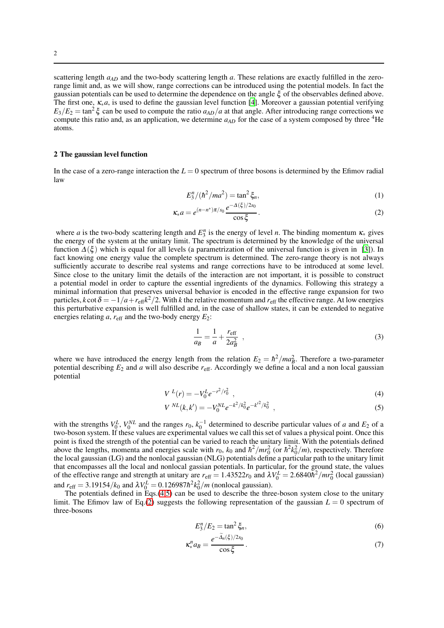scattering length  $a_{AD}$  and the two-body scattering length *a*. These relations are exactly fulfilled in the zerorange limit and, as we will show, range corrections can be introduced using the potential models. In fact the gaussian potentials can be used to determine the dependence on the angle ξ of the observables defined above. The first one, <sup>κ</sup>∗*a*, is used to define the gaussian level function [\[4](#page-3-3)]. Moreover a gaussian potential verifying  $E_3/E_2 = \tan^2 \xi$  can be used to compute the ratio  $a_{AD}/a$  at that angle. After introducing range corrections we compute this ratio and, as an application, we determine  $a_{AD}$  for the case of a system composed by three <sup>4</sup>He atoms.

#### 2 The gaussian level function

In the case of a zero-range interaction the  $L = 0$  spectrum of three bosons is determined by the Efimov radial law

<span id="page-1-1"></span>
$$
E_3^n / (\hbar^2 / ma^2) = \tan^2 \xi_n,
$$
 (1)

$$
\kappa_* a = e^{(n-n^*)\pi/s_0} \frac{e^{-\Delta(\xi)/2s_0}}{\cos \xi}.
$$
 (2)

where *a* is the two-body scattering length and  $E_3^n$  is the energy of level *n*. The binding momentum  $\kappa_*$  gives the energy of the system at the unitary limit. The spectrum is determined by the knowledge of the universal function  $\Delta(\xi)$  which is equal for all levels (a parametrization of the universal function is given in [\[3](#page-3-2)]). In fact knowing one energy value the complete spectrum is determined. The zero-range theory is not always sufficiently accurate to describe real systems and range corrections have to be introduced at some level. Since close to the unitary limit the details of the interaction are not important, it is possible to construct a potential model in order to capture the essential ingredients of the dynamics. Following this strategy a minimal information that preserves universal behavior is encoded in the effective range expansion for two particles,  $k \cot \delta = -1/a + r_{\text{eff}} k^2/2$ . With  $k$  the relative momentum and  $r_{\text{eff}}$  the effective range. At low energies this perturbative expansion is well fulfilled and, in the case of shallow states, it can be extended to negative energies relating  $a$ ,  $r_{\text{eff}}$  and the two-body energy  $E_2$ :

$$
\frac{1}{a_B} = \frac{1}{a} + \frac{r_{\text{eff}}}{2a_B^2} \tag{3}
$$

where we have introduced the energy length from the relation  $E_2 = \hbar^2 / ma_B^2$ . Therefore a two-parameter potential describing  $E_2$  and *a* will also describe  $r_{\text{eff}}$ . Accordingly we define a local and a non local gaussian potential

<span id="page-1-0"></span>
$$
V^{L}(r) = -V_0^{L} e^{-r^2/r_0^2} \tag{4}
$$

$$
V^{NL}(k,k') = -V_0^{NL}e^{-k^2/k_0^2}e^{-k^2/k_0^2} \t{,} \t(5)
$$

with the strengths  $V_0^L$ ,  $V_0^{NL}$  and the ranges  $r_0$ ,  $k_0^{-1}$  determined to describe particular values of *a* and  $E_2$  of a two-boson system. If these values are experimental values we call this set of values a physical point. Once this point is fixed the strength of the potential can be varied to reach the unitary limit. With the potentials defined above the lengths, momenta and energies scale with  $r_0$ ,  $k_0$  and  $\hbar^2/mr_0^2$  (or  $\hbar^2k_0^2/m$ ), respectively. Therefore the local gaussian (LG) and the nonlocal gaussian (NLG) potentials define a particular path to the unitary limit that encompasses all the local and nonlocal gassian potentials. In particular, for the ground state, the values of the effective range and strength at unitary are  $r_{\text{eff}} = 1.43522r_0$  and  $\lambda V_0^L = 2.6840\hbar^2/mr_0^2$  (local gaussian) and  $r_{\text{eff}} = 3.19154/k_0$  and  $\lambda V_0^L = 0.126987\hbar^2 k_0^2/m$  (nonlocal gaussian).

The potentials defined in Eqs. $(4,5)$  can be used to describe the three-boson system close to the unitary limit. The Efimov law of Eq.[\(2\)](#page-1-1) suggests the following representation of the gaussian  $L = 0$  spectrum of three-bosons

$$
E_3^n/E_2 = \tan^2 \xi_n,\tag{6}
$$

$$
\kappa_*^n a_B = \frac{e^{-\Delta_n(\xi)/2s_0}}{\cos \xi}.
$$
\n(7)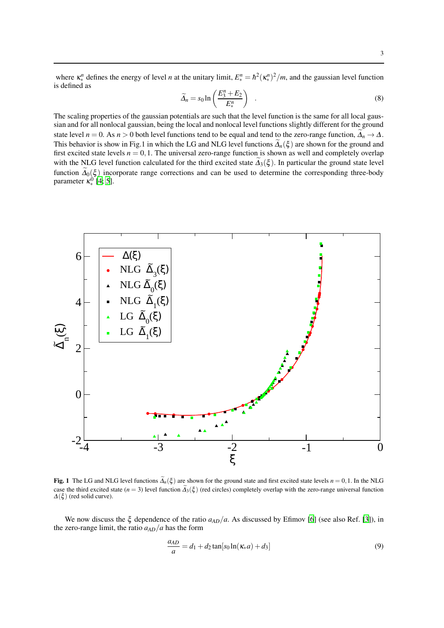where  $\kappa_*^n$  defines the energy of level *n* at the unitary limit,  $E_*^n = \hbar^2(\kappa_*^n)^2/m$ , and the gaussian level function is defined as

$$
\widetilde{\Delta}_n = s_0 \ln \left( \frac{E_3^n + E_2}{E_*^n} \right) \quad . \tag{8}
$$

The scaling properties of the gaussian potentials are such that the level function is the same for all local gaussian and for all nonlocal gaussian, being the local and nonlocal level functions slightly different for the ground state level *n* = 0. As *n* > 0 both level functions tend to be equal and tend to the zero-range function,  $\tilde{\Delta}_n \to \Delta$ . This behavior is show in Fig.1 in which the LG and NLG level functions  $\widetilde{\Delta}_n(\xi)$  are shown for the ground and first excited state levels  $n = 0, 1$ . The universal zero-range function is shown as well and completely overlap with the NLG level function calculated for the third excited state  $\tilde{\Lambda}_3(\xi)$ . In particular the ground state level function  $\widetilde{\Delta}_0(\xi)$  incorporate range corrections and can be used to determine the corresponding three-body parameter  $\kappa_*^0$  [\[4;](#page-3-3) [5](#page-3-4)].



Fig. 1 The LG and NLG level functions  $\tilde{\Delta}_n(\xi)$  are shown for the ground state and first excited state levels  $n = 0, 1$ . In the NLG case the third excited state ( $n = 3$ ) level function  $\tilde{\Delta}_3(\xi)$  (red circles) completely overlap with the zero-range universal function  $\Delta(\xi)$  (red solid curve).

We now discuss the  $\xi$  dependence of the ratio  $a_{AD}/a$ . As discussed by Efimov [\[6\]](#page-3-5) (see also Ref. [\[3](#page-3-2)]), in the zero-range limit, the ratio  $a_{AD}/a$  has the form

$$
\frac{a_{AD}}{a} = d_1 + d_2 \tan[s_0 \ln(\kappa_* a) + d_3]
$$
\n(9)